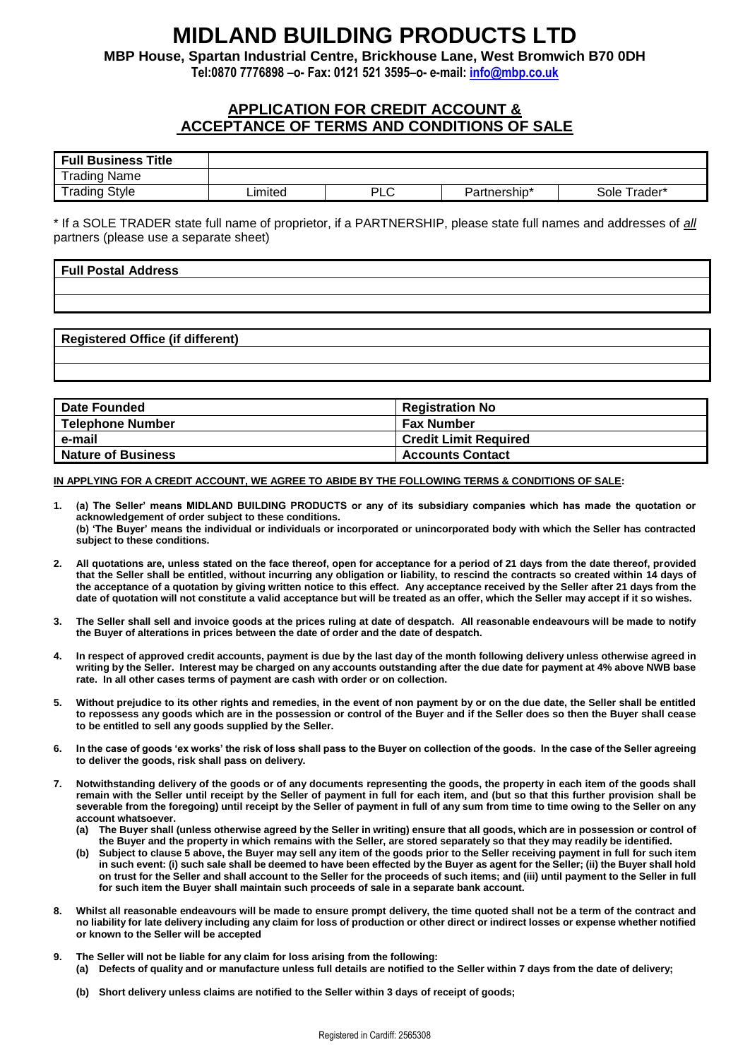# **MIDLAND BUILDING PRODUCTS LTD**

**MBP House, Spartan Industrial Centre, Brickhouse Lane, West Bromwich B70 0DH**

**Tel:0870 7776898 –o- Fax: 0121 521 3595–o- e-mail: [info@mbp.co.uk](mailto:info@mbp.co.uk)**

## **APPLICATION FOR CREDIT ACCOUNT & ACCEPTANCE OF TERMS AND CONDITIONS OF SALE**

| <b>Full Business Title</b> |         |              |              |              |
|----------------------------|---------|--------------|--------------|--------------|
| <b>Trading Name</b>        |         |              |              |              |
| <b>Trading Style</b>       | .imited | ים ום<br>ั∟∪ | Partnership* | Sole Trader* |

\* If a SOLE TRADER state full name of proprietor, if a PARTNERSHIP, please state full names and addresses of *all* partners (please use a separate sheet)

| Full Postal Address |  |  |
|---------------------|--|--|
|                     |  |  |
|                     |  |  |

### **Registered Office (if different)**

| <b>Date Founded</b>       | <b>Registration No</b>       |
|---------------------------|------------------------------|
| <b>Telephone Number</b>   | <b>Fax Number</b>            |
| e-mail                    | <b>Credit Limit Required</b> |
| <b>Nature of Business</b> | <b>Accounts Contact</b>      |

#### **IN APPLYING FOR A CREDIT ACCOUNT, WE AGREE TO ABIDE BY THE FOLLOWING TERMS & CONDITIONS OF SALE:**

- **1. (a) The Seller' means MIDLAND BUILDING PRODUCTS or any of its subsidiary companies which has made the quotation or acknowledgement of order subject to these conditions. (b) 'The Buyer' means the individual or individuals or incorporated or unincorporated body with which the Seller has contracted subject to these conditions.**
- **2. All quotations are, unless stated on the face thereof, open for acceptance for a period of 21 days from the date thereof, provided that the Seller shall be entitled, without incurring any obligation or liability, to rescind the contracts so created within 14 days of the acceptance of a quotation by giving written notice to this effect. Any acceptance received by the Seller after 21 days from the date of quotation will not constitute a valid acceptance but will be treated as an offer, which the Seller may accept if it so wishes.**
- **3. The Seller shall sell and invoice goods at the prices ruling at date of despatch. All reasonable endeavours will be made to notify the Buyer of alterations in prices between the date of order and the date of despatch.**
- **4. In respect of approved credit accounts, payment is due by the last day of the month following delivery unless otherwise agreed in writing by the Seller. Interest may be charged on any accounts outstanding after the due date for payment at 4% above NWB base rate. In all other cases terms of payment are cash with order or on collection.**
- **5. Without prejudice to its other rights and remedies, in the event of non payment by or on the due date, the Seller shall be entitled to repossess any goods which are in the possession or control of the Buyer and if the Seller does so then the Buyer shall cease to be entitled to sell any goods supplied by the Seller.**
- **6. In the case of goods 'ex works' the risk of loss shall pass to the Buyer on collection of the goods. In the case of the Seller agreeing to deliver the goods, risk shall pass on delivery.**
- **7. Notwithstanding delivery of the goods or of any documents representing the goods, the property in each item of the goods shall remain with the Seller until receipt by the Seller of payment in full for each item, and (but so that this further provision shall be severable from the foregoing) until receipt by the Seller of payment in full of any sum from time to time owing to the Seller on any account whatsoever.**
	- **(a) The Buyer shall (unless otherwise agreed by the Seller in writing) ensure that all goods, which are in possession or control of the Buyer and the property in which remains with the Seller, are stored separately so that they may readily be identified.**
	- **(b) Subject to clause 5 above, the Buyer may sell any item of the goods prior to the Seller receiving payment in full for such item in such event: (i) such sale shall be deemed to have been effected by the Buyer as agent for the Seller; (ii) the Buyer shall hold on trust for the Seller and shall account to the Seller for the proceeds of such items; and (iii) until payment to the Seller in full for such item the Buyer shall maintain such proceeds of sale in a separate bank account.**
- **8. Whilst all reasonable endeavours will be made to ensure prompt delivery, the time quoted shall not be a term of the contract and no liability for late delivery including any claim for loss of production or other direct or indirect losses or expense whether notified or known to the Seller will be accepted**
- **9. The Seller will not be liable for any claim for loss arising from the following: (a) Defects of quality and or manufacture unless full details are notified to the Seller within 7 days from the date of delivery;**
	- **(b) Short delivery unless claims are notified to the Seller within 3 days of receipt of goods;**